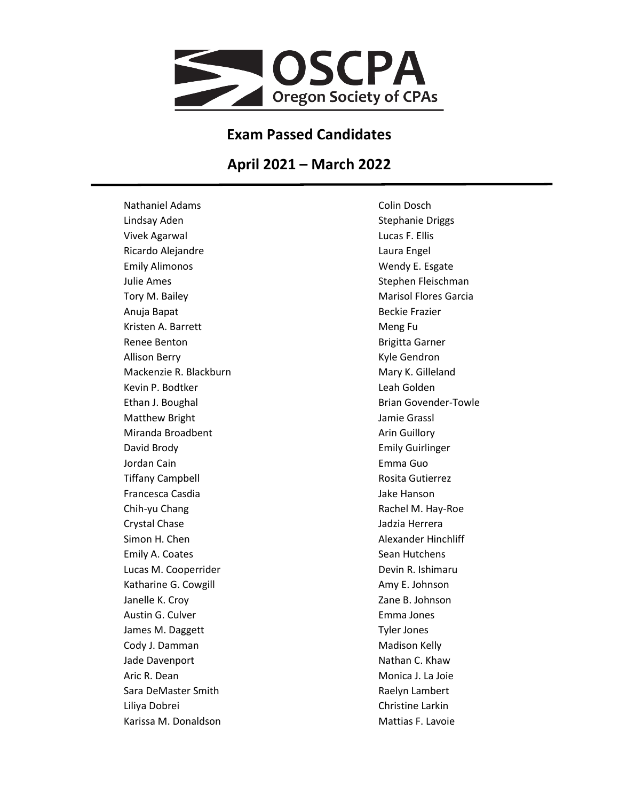

## **Exam Passed Candidates**

## **April 2021 – March 2022**

Nathaniel Adams Lindsay Aden Vivek Agarwal Ricardo Alejandre Emily Alimonos Julie Ames Tory M. Bailey Anuja Bapat Kristen A. Barrett Renee Benton Allison Berry Mackenzie R. Blackburn Kevin P. Bodtker Ethan J. Boughal Matthew Bright Miranda Broadbent David Brody Jordan Cain Tiffany Campbell Francesca Casdia Chih-yu Chang Crystal Chase Simon H. Chen Emily A. Coates Lucas M. Cooperrider Katharine G. Cowgill Janelle K. Croy Austin G. Culver James M. Daggett Cody J. Damman Jade Davenport Aric R. Dean Sara DeMaster Smith Liliya Dobrei Karissa M. Donaldson

Colin Dosch Stephanie Driggs Lucas F. Ellis Laura Engel Wendy E. Esgate Stephen Fleischman Marisol Flores Garcia Beckie Frazier Meng Fu Brigitta Garner Kyle Gendron Mary K. Gilleland Leah Golden Brian Govender-Towle Jamie Grassl Arin Guillory Emily Guirlinger Emma Guo Rosita Gutierrez Jake Hanson Rachel M. Hay-Roe Jadzia Herrera Alexander Hinchliff Sean Hutchens Devin R. Ishimaru Amy E. Johnson Zane B. Johnson Emma Jones Tyler Jones Madison Kelly Nathan C. Khaw Monica J. La Joie Raelyn Lambert Christine Larkin Mattias F. Lavoie